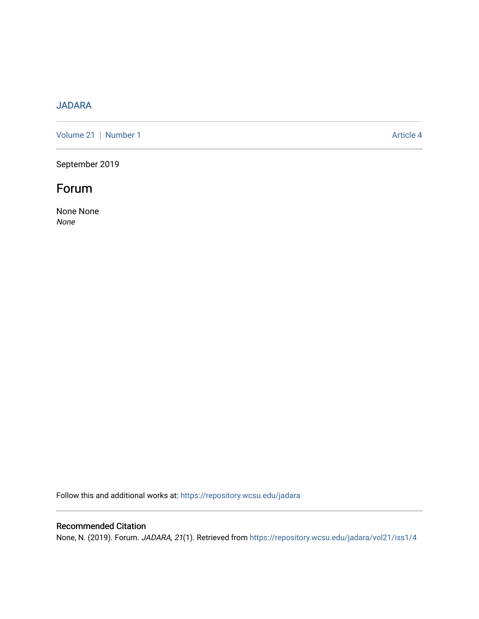## [JADARA](https://repository.wcsu.edu/jadara)

[Volume 21](https://repository.wcsu.edu/jadara/vol21) | [Number 1](https://repository.wcsu.edu/jadara/vol21/iss1) Article 4

September 2019

## Forum

None None None

Follow this and additional works at: [https://repository.wcsu.edu/jadara](https://repository.wcsu.edu/jadara?utm_source=repository.wcsu.edu%2Fjadara%2Fvol21%2Fiss1%2F4&utm_medium=PDF&utm_campaign=PDFCoverPages)

### Recommended Citation

None, N. (2019). Forum. JADARA, 21(1). Retrieved from [https://repository.wcsu.edu/jadara/vol21/iss1/4](https://repository.wcsu.edu/jadara/vol21/iss1/4?utm_source=repository.wcsu.edu%2Fjadara%2Fvol21%2Fiss1%2F4&utm_medium=PDF&utm_campaign=PDFCoverPages)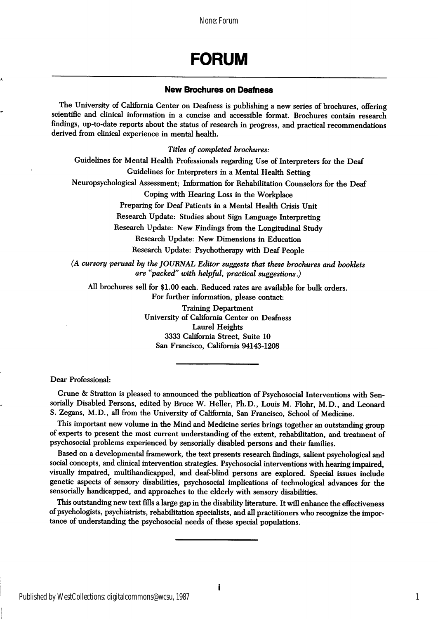None: Forum

# FORUM

#### New Brochures on Deafness

The University of California Center on Deafness is publishing a new series of brochures, offering scientific and clinical information in a concise and accessible format. Brochures contain research findings, up-to-date reports about the status of research in progress, and practical recommendations derived from clinical experience in mental health.

Titles of completed brochures:

Guidelines for Mental Health Professionals regarding Use of Interpreters for the Deaf Guidelines for Interpreters in a Mental Health Setting

Neuropsychological Assessment; Information for Rehabilitation Counselors for the Deaf

Coping with Hearing Loss in the Workplace

Preparing for Deaf Patients in a Mental Health Crisis Unit

Research Update: Studies about Sign Language Interpreting

Research Update: New Findings from the Longitudinal Study

Research Update: New Dimensions in Education Research Update: Psychotherapy with Deaf People

(A cursory perusal by the JOURNAL Editor suggests that these brochures and booklets are ''packed" with helpful, practical suggestions.)

All brochures sell for \$1.00 each. Reduced rates are available for bulk orders. For further information, please contact:

> Training Department University of California Center on Deafness Laurel Heights 3333 California Street, Suite 10 San Francisco, California 94143-1208

Dear Professional:

Grune & Stratton is pleased to announced the publication of Psychosocial Interventions with Sensorially Disabled Persons, edited by Bruce W. Heller, Ph.D., Louis M. Flohr, M.D., and Leonard S. Zegans, M.D., all from the University of California, San Francisco, School of Medicine.

This important new volume in the Mind and Medicine series brings together an outstanding group of experts to present the most current understanding of the extent, rehabilitation, and treatment of psychosocial problems experienced by sensorially disabled persons and their families.

Based on a developmental framework, the text presents research findings, salient psychological and social concepts, and clinical intervention strategies. Psychosocial interventions with hearing impaired, visually impaired, multihandicapped, and deaf-bhnd persons are explored. Special issues include genetic aspects of sensory disabilities, psychosocial implications of technological advances for the sensorially handicapped, and approaches to the elderly with sensory disabilities.

This outstanding new text fills a large gap in the disability literature. It will enhance the effectiveness of psychologists, psychiatrists, rehabilitation specialists, and all practitioners who recognize the impor tance of understanding the psychosocial needs of these special populations.